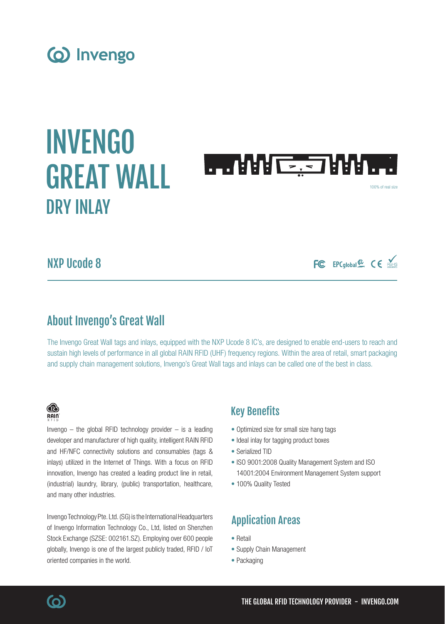# (o) Invengo

# INVENGO **THARE: JARLE** GREAT WALL 100% of real size DRY INLAY

# NXP Ucode 8

# About Invengo's Great Wall

The Invengo Great Wall tags and inlays, equipped with the NXP Ucode 8 IC's, are designed to enable end-users to reach and sustain high levels of performance in all global RAIN RFID (UHF) frequency regions. Within the area of retail, smart packaging and supply chain management solutions, Invengo's Great Wall tags and inlays can be called one of the best in class.

## ® RAIN

Invengo  $-$  the global RFID technology provider  $-$  is a leading developer and manufacturer of high quality, intelligent RAIN RFID and HF/NFC connectivity solutions and consumables (tags & inlays) utilized in the Internet of Things. With a focus on RFID innovation, Invengo has created a leading product line in retail, (industrial) laundry, library, (public) transportation, healthcare, and many other industries.

Invengo Technology Pte. Ltd. (SG) is the International Headquarters of Invengo Information Technology Co., Ltd, listed on Shenzhen Stock Exchange (SZSE: 002161.SZ). Employing over 600 people globally, Invengo is one of the largest publicly traded, RFID / IoT oriented companies in the world.

# Key Benefits

- Optimized size for small size hang tags
- Ideal inlay for tagging product boxes
- Serialized TID
- ISO 9001:2008 Quality Management System and ISO 14001:2004 Environment Management System support

FC EPCglobal & CE ROHIS

• 100% Quality Tested

# Application Areas

- Retail
- Supply Chain Management
- Packaging